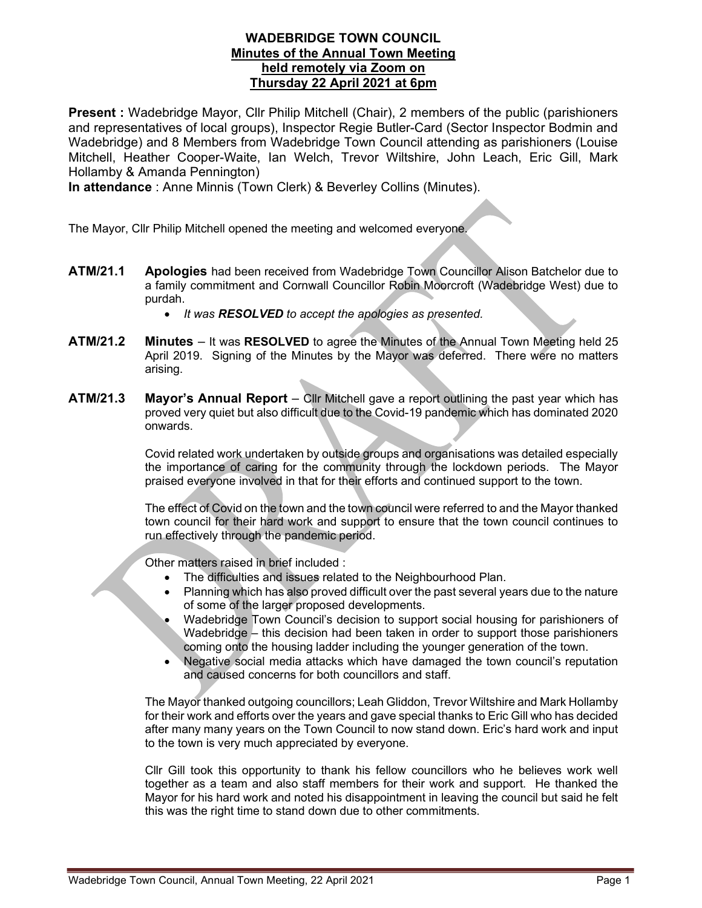## WADEBRIDGE TOWN COUNCIL Minutes of the Annual Town Meeting held remotely via Zoom on Thursday 22 April 2021 at 6pm

Present : Wadebridge Mayor, Cllr Philip Mitchell (Chair), 2 members of the public (parishioners and representatives of local groups), Inspector Regie Butler-Card (Sector Inspector Bodmin and Wadebridge) and 8 Members from Wadebridge Town Council attending as parishioners (Louise Mitchell, Heather Cooper-Waite, Ian Welch, Trevor Wiltshire, John Leach, Eric Gill, Mark Hollamby & Amanda Pennington)

In attendance : Anne Minnis (Town Clerk) & Beverley Collins (Minutes).

The Mayor, Cllr Philip Mitchell opened the meeting and welcomed everyone.

- ATM/21.1 Apologies had been received from Wadebridge Town Councillor Alison Batchelor due to a family commitment and Cornwall Councillor Robin Moorcroft (Wadebridge West) due to purdah.
	- It was **RESOLVED** to accept the apologies as presented.
- ATM/21.2 Minutes It was RESOLVED to agree the Minutes of the Annual Town Meeting held 25 April 2019. Signing of the Minutes by the Mayor was deferred. There were no matters arising.
- **ATM/21.3** Mayor's Annual Report Cllr Mitchell gave a report outlining the past year which has proved very quiet but also difficult due to the Covid-19 pandemic which has dominated 2020 onwards.

Covid related work undertaken by outside groups and organisations was detailed especially the importance of caring for the community through the lockdown periods. The Mayor praised everyone involved in that for their efforts and continued support to the town.

The effect of Covid on the town and the town council were referred to and the Mayor thanked town council for their hard work and support to ensure that the town council continues to run effectively through the pandemic period.

Other matters raised in brief included :

- The difficulties and issues related to the Neighbourhood Plan.
- Planning which has also proved difficult over the past several years due to the nature of some of the larger proposed developments.
- Wadebridge Town Council's decision to support social housing for parishioners of Wadebridge – this decision had been taken in order to support those parishioners coming onto the housing ladder including the younger generation of the town.
- Negative social media attacks which have damaged the town council's reputation and caused concerns for both councillors and staff.

The Mayor thanked outgoing councillors; Leah Gliddon, Trevor Wiltshire and Mark Hollamby for their work and efforts over the years and gave special thanks to Eric Gill who has decided after many many years on the Town Council to now stand down. Eric's hard work and input to the town is very much appreciated by everyone.

Cllr Gill took this opportunity to thank his fellow councillors who he believes work well together as a team and also staff members for their work and support. He thanked the Mayor for his hard work and noted his disappointment in leaving the council but said he felt this was the right time to stand down due to other commitments.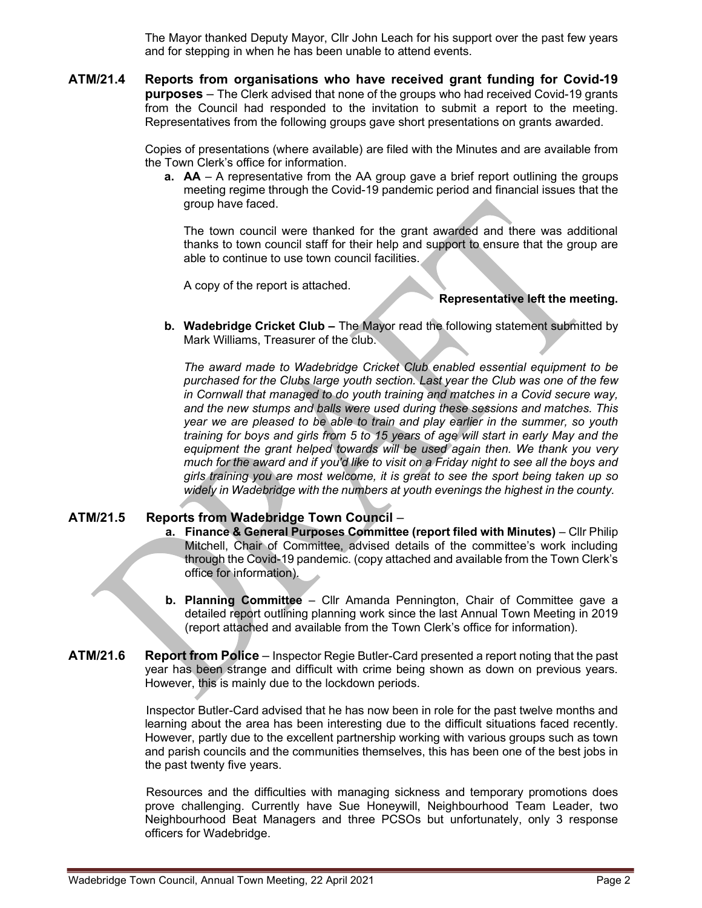The Mayor thanked Deputy Mayor, Cllr John Leach for his support over the past few years and for stepping in when he has been unable to attend events.

ATM/21.4 Reports from organisations who have received grant funding for Covid-19 purposes – The Clerk advised that none of the groups who had received Covid-19 grants from the Council had responded to the invitation to submit a report to the meeting. Representatives from the following groups gave short presentations on grants awarded.

> Copies of presentations (where available) are filed with the Minutes and are available from the Town Clerk's office for information.

a. AA – A representative from the AA group gave a brief report outlining the groups meeting regime through the Covid-19 pandemic period and financial issues that the group have faced.

The town council were thanked for the grant awarded and there was additional thanks to town council staff for their help and support to ensure that the group are able to continue to use town council facilities.

A copy of the report is attached.

## Representative left the meeting.

b. Wadebridge Cricket Club – The Mayor read the following statement submitted by Mark Williams, Treasurer of the club.

The award made to Wadebridge Cricket Club enabled essential equipment to be purchased for the Clubs large youth section. Last year the Club was one of the few in Cornwall that managed to do youth training and matches in a Covid secure way, and the new stumps and balls were used during these sessions and matches. This year we are pleased to be able to train and play earlier in the summer, so youth training for boys and girls from 5 to 15 years of age will start in early May and the equipment the grant helped towards will be used again then. We thank you very much for the award and if you'd like to visit on a Friday night to see all the boys and girls training you are most welcome, it is great to see the sport being taken up so widely in Wadebridge with the numbers at youth evenings the highest in the county.

# ATM/21.5 Reports from Wadebridge Town Council –

- a. Finance & General Purposes Committee (report filed with Minutes) Cllr Philip Mitchell, Chair of Committee, advised details of the committee's work including through the Covid-19 pandemic. (copy attached and available from the Town Clerk's office for information).
- b. Planning Committee Cllr Amanda Pennington, Chair of Committee gave a detailed report outlining planning work since the last Annual Town Meeting in 2019 (report attached and available from the Town Clerk's office for information).
- ATM/21.6 Report from Police Inspector Regie Butler-Card presented a report noting that the past year has been strange and difficult with crime being shown as down on previous years. However, this is mainly due to the lockdown periods.

Inspector Butler-Card advised that he has now been in role for the past twelve months and learning about the area has been interesting due to the difficult situations faced recently. However, partly due to the excellent partnership working with various groups such as town and parish councils and the communities themselves, this has been one of the best jobs in the past twenty five years.

Resources and the difficulties with managing sickness and temporary promotions does prove challenging. Currently have Sue Honeywill, Neighbourhood Team Leader, two Neighbourhood Beat Managers and three PCSOs but unfortunately, only 3 response officers for Wadebridge.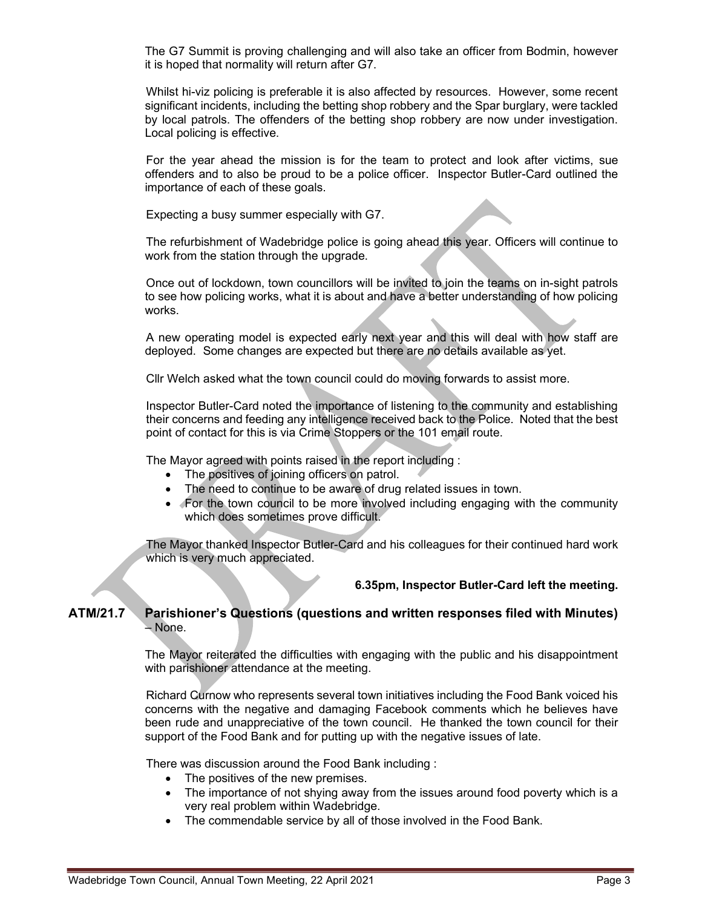The G7 Summit is proving challenging and will also take an officer from Bodmin, however it is hoped that normality will return after G7.

Whilst hi-viz policing is preferable it is also affected by resources. However, some recent significant incidents, including the betting shop robbery and the Spar burglary, were tackled by local patrols. The offenders of the betting shop robbery are now under investigation. Local policing is effective.

For the year ahead the mission is for the team to protect and look after victims, sue offenders and to also be proud to be a police officer. Inspector Butler-Card outlined the importance of each of these goals.

Expecting a busy summer especially with G7.

The refurbishment of Wadebridge police is going ahead this year. Officers will continue to work from the station through the upgrade.

Once out of lockdown, town councillors will be invited to join the teams on in-sight patrols to see how policing works, what it is about and have a better understanding of how policing works.

A new operating model is expected early next year and this will deal with how staff are deployed. Some changes are expected but there are no details available as yet.

Cllr Welch asked what the town council could do moving forwards to assist more.

Inspector Butler-Card noted the importance of listening to the community and establishing their concerns and feeding any intelligence received back to the Police. Noted that the best point of contact for this is via Crime Stoppers or the 101 email route.

The Mayor agreed with points raised in the report including :

- The positives of joining officers on patrol.
- The need to continue to be aware of drug related issues in town.
- For the town council to be more involved including engaging with the community which does sometimes prove difficult.

The Mayor thanked Inspector Butler-Card and his colleagues for their continued hard work which is very much appreciated.

#### 6.35pm, Inspector Butler-Card left the meeting.

## ATM/21.7 Parishioner's Questions (questions and written responses filed with Minutes) – None.

 The Mayor reiterated the difficulties with engaging with the public and his disappointment with parishioner attendance at the meeting.

 Richard Curnow who represents several town initiatives including the Food Bank voiced his concerns with the negative and damaging Facebook comments which he believes have been rude and unappreciative of the town council. He thanked the town council for their support of the Food Bank and for putting up with the negative issues of late.

There was discussion around the Food Bank including :

- The positives of the new premises.
- The importance of not shying away from the issues around food poverty which is a very real problem within Wadebridge.
- The commendable service by all of those involved in the Food Bank.